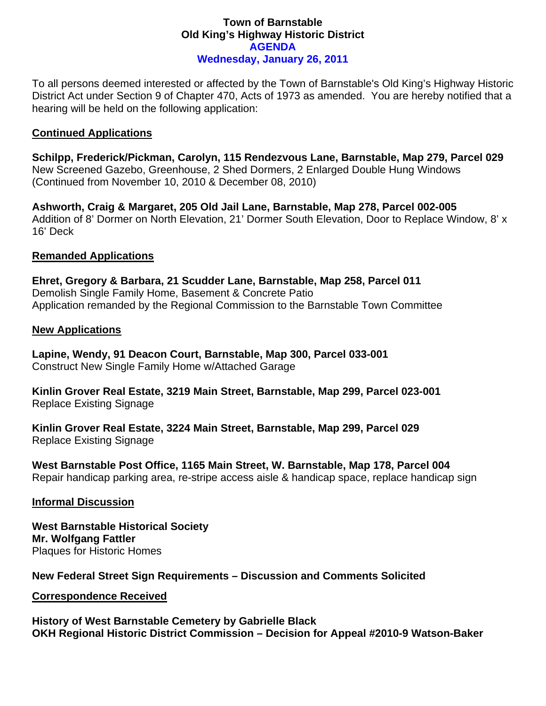# **Town of Barnstable Old King's Highway Historic District AGENDA Wednesday, January 26, 2011**

To all persons deemed interested or affected by the Town of Barnstable's Old King's Highway Historic District Act under Section 9 of Chapter 470, Acts of 1973 as amended. You are hereby notified that a hearing will be held on the following application:

# **Continued Applications**

**Schilpp, Frederick/Pickman, Carolyn, 115 Rendezvous Lane, Barnstable, Map 279, Parcel 029**  New Screened Gazebo, Greenhouse, 2 Shed Dormers, 2 Enlarged Double Hung Windows (Continued from November 10, 2010 & December 08, 2010)

**Ashworth, Craig & Margaret, 205 Old Jail Lane, Barnstable, Map 278, Parcel 002-005**  Addition of 8' Dormer on North Elevation, 21' Dormer South Elevation, Door to Replace Window, 8' x 16' Deck

### **Remanded Applications**

**Ehret, Gregory & Barbara, 21 Scudder Lane, Barnstable, Map 258, Parcel 011**  Demolish Single Family Home, Basement & Concrete Patio Application remanded by the Regional Commission to the Barnstable Town Committee

### **New Applications**

**Lapine, Wendy, 91 Deacon Court, Barnstable, Map 300, Parcel 033-001**  Construct New Single Family Home w/Attached Garage

**Kinlin Grover Real Estate, 3219 Main Street, Barnstable, Map 299, Parcel 023-001**  Replace Existing Signage

**Kinlin Grover Real Estate, 3224 Main Street, Barnstable, Map 299, Parcel 029**  Replace Existing Signage

**West Barnstable Post Office, 1165 Main Street, W. Barnstable, Map 178, Parcel 004**  Repair handicap parking area, re-stripe access aisle & handicap space, replace handicap sign

### **Informal Discussion**

**West Barnstable Historical Society Mr. Wolfgang Fattler**  Plaques for Historic Homes

**New Federal Street Sign Requirements – Discussion and Comments Solicited** 

### **Correspondence Received**

**History of West Barnstable Cemetery by Gabrielle Black OKH Regional Historic District Commission – Decision for Appeal #2010-9 Watson-Baker**